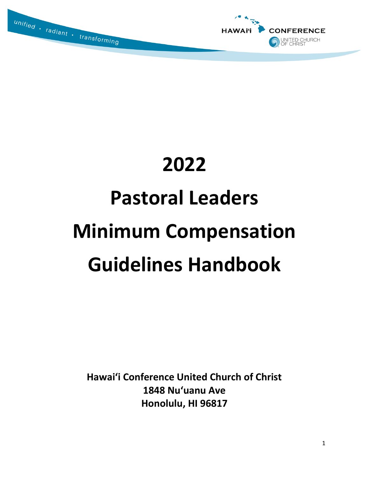



# **2022 Pastoral Leaders Minimum Compensation Guidelines Handbook**

**Hawai'i Conference United Church of Christ 1848 Nu'uanu Ave Honolulu, HI 96817**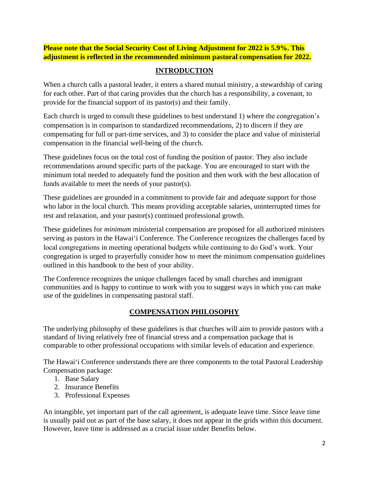**Please note that the Social Security Cost of Living Adjustment for 2022 is 5.9%. This adjustment is reflected in the recommended minimum pastoral compensation for 2022.**

# **INTRODUCTION**

When a church calls a pastoral leader, it enters a shared mutual ministry, a stewardship of caring for each other. Part of that caring provides that the church has a responsibility, a covenant, to provide for the financial support of its pastor(s) and their family.

Each church is urged to consult these guidelines to best understand 1) where the congregation's compensation is in comparison to standardized recommendations, 2) to discern if they are compensating for full or part-time services, and 3) to consider the place and value of ministerial compensation in the financial well-being of the church.

These guidelines focus on the total cost of funding the position of pastor. They also include recommendations around specific parts of the package. You are encouraged to start with the minimum total needed to adequately fund the position and then work with the best allocation of funds available to meet the needs of your pastor(s).

These guidelines are grounded in a commitment to provide fair and adequate support for those who labor in the local church. This means providing acceptable salaries, uninterrupted times for rest and relaxation, and your pastor(s) continued professional growth.

These guidelines for *minimum* ministerial compensation are proposed for all authorized ministers serving as pastors in the Hawai'i Conference. The Conference recognizes the challenges faced by local congregations in meeting operational budgets while continuing to do God's work. Your congregation is urged to prayerfully consider how to meet the minimum compensation guidelines outlined in this handbook to the best of your ability.

The Conference recognizes the unique challenges faced by small churches and immigrant communities and is happy to continue to work with you to suggest ways in which you can make use of the guidelines in compensating pastoral staff.

# **COMPENSATION PHILOSOPHY**

The underlying philosophy of these guidelines is that churches will aim to provide pastors with a standard of living relatively free of financial stress and a compensation package that is comparable to other professional occupations with similar levels of education and experience.

The Hawai'i Conference understands there are three components to the total Pastoral Leadership Compensation package:

- 1. Base Salary
- 2. Insurance Benefits
- 3. Professional Expenses

An intangible, yet important part of the call agreement, is adequate leave time. Since leave time is usually paid out as part of the base salary, it does not appear in the grids within this document. However, leave time is addressed as a crucial issue under Benefits below.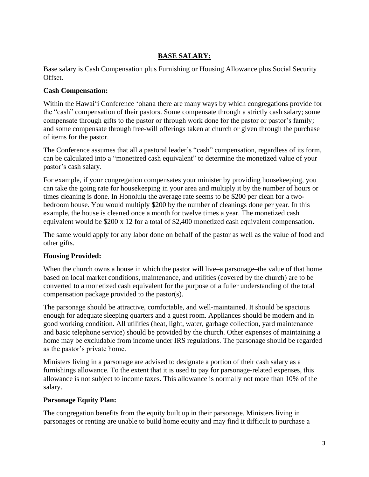# **BASE SALARY:**

Base salary is Cash Compensation plus Furnishing or Housing Allowance plus Social Security Offset.

#### **Cash Compensation:**

Within the Hawai'i Conference 'ohana there are many ways by which congregations provide for the "cash" compensation of their pastors. Some compensate through a strictly cash salary; some compensate through gifts to the pastor or through work done for the pastor or pastor's family; and some compensate through free-will offerings taken at church or given through the purchase of items for the pastor.

The Conference assumes that all a pastoral leader's "cash" compensation, regardless of its form, can be calculated into a "monetized cash equivalent" to determine the monetized value of your pastor's cash salary.

For example, if your congregation compensates your minister by providing housekeeping, you can take the going rate for housekeeping in your area and multiply it by the number of hours or times cleaning is done. In Honolulu the average rate seems to be \$200 per clean for a twobedroom house. You would multiply \$200 by the number of cleanings done per year. In this example, the house is cleaned once a month for twelve times a year. The monetized cash equivalent would be \$200 x 12 for a total of \$2,400 monetized cash equivalent compensation.

The same would apply for any labor done on behalf of the pastor as well as the value of food and other gifts.

# **Housing Provided:**

When the church owns a house in which the pastor will live–a parsonage–the value of that home based on local market conditions, maintenance, and utilities (covered by the church) are to be converted to a monetized cash equivalent for the purpose of a fuller understanding of the total compensation package provided to the pastor(s).

The parsonage should be attractive, comfortable, and well-maintained. It should be spacious enough for adequate sleeping quarters and a guest room. Appliances should be modern and in good working condition. All utilities (heat, light, water, garbage collection, yard maintenance and basic telephone service) should be provided by the church. Other expenses of maintaining a home may be excludable from income under IRS regulations. The parsonage should be regarded as the pastor's private home.

Ministers living in a parsonage are advised to designate a portion of their cash salary as a furnishings allowance. To the extent that it is used to pay for parsonage-related expenses, this allowance is not subject to income taxes. This allowance is normally not more than 10% of the salary.

# **Parsonage Equity Plan:**

The congregation benefits from the equity built up in their parsonage. Ministers living in parsonages or renting are unable to build home equity and may find it difficult to purchase a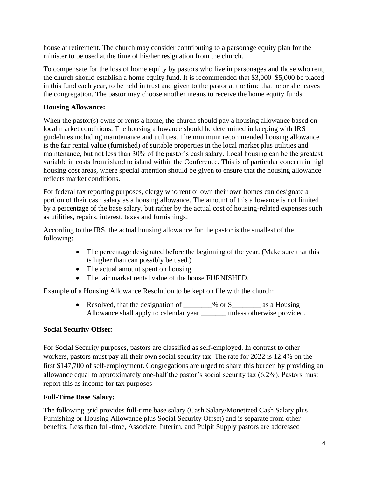house at retirement. The church may consider contributing to a parsonage equity plan for the minister to be used at the time of his/her resignation from the church.

To compensate for the loss of home equity by pastors who live in parsonages and those who rent, the church should establish a home equity fund. It is recommended that \$3,000–\$5,000 be placed in this fund each year, to be held in trust and given to the pastor at the time that he or she leaves the congregation. The pastor may choose another means to receive the home equity funds.

# **Housing Allowance:**

When the pastor(s) owns or rents a home, the church should pay a housing allowance based on local market conditions. The housing allowance should be determined in keeping with IRS guidelines including maintenance and utilities. The minimum recommended housing allowance is the fair rental value (furnished) of suitable properties in the local market plus utilities and maintenance, but not less than 30% of the pastor's cash salary. Local housing can be the greatest variable in costs from island to island within the Conference. This is of particular concern in high housing cost areas, where special attention should be given to ensure that the housing allowance reflects market conditions.

For federal tax reporting purposes, clergy who rent or own their own homes can designate a portion of their cash salary as a housing allowance. The amount of this allowance is not limited by a percentage of the base salary, but rather by the actual cost of housing-related expenses such as utilities, repairs, interest, taxes and furnishings.

According to the IRS, the actual housing allowance for the pastor is the smallest of the following:

- The percentage designated before the beginning of the year. (Make sure that this is higher than can possibly be used.)
- The actual amount spent on housing.
- The fair market rental value of the house FURNISHED.

Example of a Housing Allowance Resolution to be kept on file with the church:

• Resolved, that the designation of \_\_\_\_\_\_\_% or \$\_\_\_\_\_\_\_\_\_ as a Housing Allowance shall apply to calendar year \_\_\_\_\_\_\_ unless otherwise provided.

# **Social Security Offset:**

For Social Security purposes, pastors are classified as self-employed. In contrast to other workers, pastors must pay all their own social security tax. The rate for 2022 is 12.4% on the first \$147,700 of self-employment. Congregations are urged to share this burden by providing an allowance equal to approximately one-half the pastor's social security tax (6.2%). Pastors must report this as income for tax purposes

# **Full-Time Base Salary:**

The following grid provides full-time base salary (Cash Salary/Monetized Cash Salary plus Furnishing or Housing Allowance plus Social Security Offset) and is separate from other benefits. Less than full-time, Associate, Interim, and Pulpit Supply pastors are addressed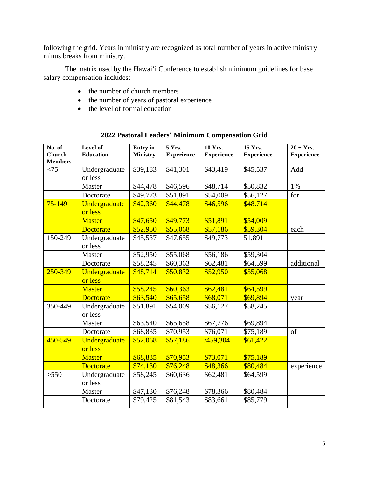following the grid. Years in ministry are recognized as total number of years in active ministry minus breaks from ministry.

The matrix used by the Hawai'i Conference to establish minimum guidelines for base salary compensation includes:

- the number of church members
- the number of years of pastoral experience
- the level of formal education

| No. of<br><b>Church</b><br><b>Members</b> | Level of<br><b>Education</b> | <b>Entry</b> in<br><b>Ministry</b> | 5 Yrs.<br><b>Experience</b> | <b>10 Yrs.</b><br><b>Experience</b> | 15 Yrs.<br><b>Experience</b> | $20 + Yrs.$<br><b>Experience</b> |
|-------------------------------------------|------------------------------|------------------------------------|-----------------------------|-------------------------------------|------------------------------|----------------------------------|
| < 75                                      | Undergraduate<br>or less     | \$39,183                           | \$41,301                    | \$43,419                            | \$45,537                     | Add                              |
|                                           | Master                       | \$44,478                           | \$46,596                    | \$48,714                            | \$50,832                     | 1%                               |
|                                           | Doctorate                    | \$49,773                           | \$51,891                    | \$54,009                            | \$56,127                     | for                              |
| $75 - 149$                                | Undergraduate<br>or less     | \$42,360                           | \$44,478                    | \$46,596                            | \$48.714                     |                                  |
|                                           | <b>Master</b>                | \$47,650                           | \$49,773                    | \$51,891                            | \$54,009                     |                                  |
|                                           | <b>Doctorate</b>             | \$52,950                           | \$55,068                    | \$57,186                            | \$59,304                     | each                             |
| 150-249                                   | Undergraduate<br>or less     | \$45,537                           | \$47,655                    | \$49,773                            | 51,891                       |                                  |
|                                           | Master                       | \$52,950                           | \$55,068                    | \$56,186                            | \$59,304                     |                                  |
|                                           | Doctorate                    | \$58,245                           | \$60,363                    | \$62,481                            | \$64,599                     | additional                       |
| 250-349                                   | Undergraduate<br>or less     | \$48,714                           | \$50,832                    | \$52,950                            | \$55,068                     |                                  |
|                                           | <b>Master</b>                | \$58,245                           | \$60,363                    | \$62,481                            | \$64,599                     |                                  |
|                                           | <b>Doctorate</b>             | \$63,540                           | \$65,658                    | \$68,071                            | \$69,894                     | year                             |
| 350-449                                   | Undergraduate<br>or less     | \$51,891                           | \$54,009                    | \$56,127                            | \$58,245                     |                                  |
|                                           | Master                       | \$63,540                           | \$65,658                    | \$67,776                            | \$69,894                     |                                  |
|                                           | Doctorate                    | \$68,835                           | \$70,953                    | \$76,071                            | \$75,189                     | of                               |
| 450-549                                   | Undergraduate<br>or less     | \$52,068                           | \$57,186                    | /459,304                            | \$61,422                     |                                  |
|                                           | <b>Master</b>                | \$68,835                           | \$70,953                    | \$73,071                            | \$75,189                     |                                  |
|                                           | <b>Doctorate</b>             | \$74,130                           | \$76,248                    | \$48,366                            | \$80,484                     | experience                       |
| >550                                      | Undergraduate<br>or less     | \$58,245                           | \$60,636                    | \$62,481                            | \$64,599                     |                                  |
|                                           | Master                       | \$47,130                           | \$76,248                    | \$78,366                            | \$80,484                     |                                  |
|                                           | Doctorate                    | \$79,425                           | \$81,543                    | \$83,661                            | \$85,779                     |                                  |

# **2022 Pastoral Leaders' Minimum Compensation Grid**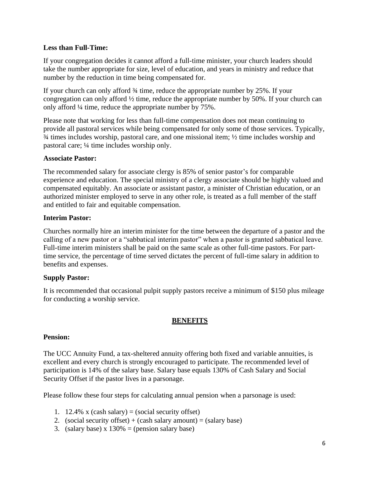#### **Less than Full-Time:**

If your congregation decides it cannot afford a full-time minister, your church leaders should take the number appropriate for size, level of education, and years in ministry and reduce that number by the reduction in time being compensated for.

If your church can only afford ¾ time, reduce the appropriate number by 25%. If your congregation can only afford ½ time, reduce the appropriate number by 50%. If your church can only afford ¼ time, reduce the appropriate number by 75%.

Please note that working for less than full-time compensation does not mean continuing to provide all pastoral services while being compensated for only some of those services. Typically, ¾ times includes worship, pastoral care, and one missional item; ½ time includes worship and pastoral care; ¼ time includes worship only.

#### **Associate Pastor:**

The recommended salary for associate clergy is 85% of senior pastor's for comparable experience and education. The special ministry of a clergy associate should be highly valued and compensated equitably. An associate or assistant pastor, a minister of Christian education, or an authorized minister employed to serve in any other role, is treated as a full member of the staff and entitled to fair and equitable compensation.

#### **Interim Pastor:**

Churches normally hire an interim minister for the time between the departure of a pastor and the calling of a new pastor or a "sabbatical interim pastor" when a pastor is granted sabbatical leave. Full-time interim ministers shall be paid on the same scale as other full-time pastors. For parttime service, the percentage of time served dictates the percent of full-time salary in addition to benefits and expenses.

#### **Supply Pastor:**

It is recommended that occasional pulpit supply pastors receive a minimum of \$150 plus mileage for conducting a worship service.

# **BENEFITS**

#### **Pension:**

The UCC Annuity Fund, a tax-sheltered annuity offering both fixed and variable annuities, is excellent and every church is strongly encouraged to participate. The recommended level of participation is 14% of the salary base. Salary base equals 130% of Cash Salary and Social Security Offset if the pastor lives in a parsonage.

Please follow these four steps for calculating annual pension when a parsonage is used:

- 1. 12.4% x (cash salary) = (social security offset)
- 2. (social security offset) + (cash salary amount) = (salary base)
- 3. (salary base) x  $130\%$  = (pension salary base)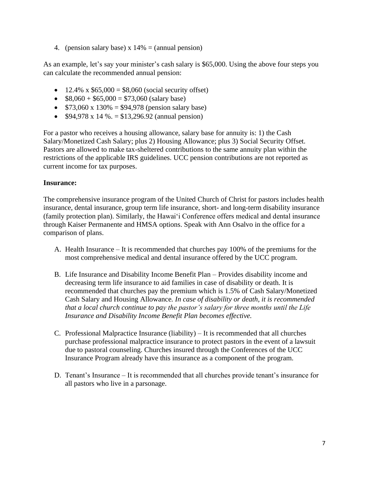4. (pension salary base)  $x 14% =$  (annual pension)

As an example, let's say your minister's cash salary is \$65,000. Using the above four steps you can calculate the recommended annual pension:

- 12.4% x  $$65,000 = $8,060$  (social security offset)
- $$8,060 + $65,000 = $73,060$  (salary base)
- $$73,060 \times 130\% = $94,978$  (pension salary base)
- $$94,978 \times 14\% = $13,296.92 \text{ (annual pension)}$

For a pastor who receives a housing allowance, salary base for annuity is: 1) the Cash Salary/Monetized Cash Salary; plus 2) Housing Allowance; plus 3) Social Security Offset. Pastors are allowed to make tax-sheltered contributions to the same annuity plan within the restrictions of the applicable IRS guidelines. UCC pension contributions are not reported as current income for tax purposes.

#### **Insurance:**

The comprehensive insurance program of the United Church of Christ for pastors includes health insurance, dental insurance, group term life insurance, short- and long-term disability insurance (family protection plan). Similarly, the Hawai'i Conference offers medical and dental insurance through Kaiser Permanente and HMSA options. Speak with Ann Osalvo in the office for a comparison of plans.

- A. Health Insurance It is recommended that churches pay 100% of the premiums for the most comprehensive medical and dental insurance offered by the UCC program.
- B. Life Insurance and Disability Income Benefit Plan Provides disability income and decreasing term life insurance to aid families in case of disability or death. It is recommended that churches pay the premium which is 1.5% of Cash Salary/Monetized Cash Salary and Housing Allowance*. In case of disability or death, it is recommended that a local church continue to pay the pastor's salary for three months until the Life Insurance and Disability Income Benefit Plan becomes effective.*
- C. Professional Malpractice Insurance (liability) It is recommended that all churches purchase professional malpractice insurance to protect pastors in the event of a lawsuit due to pastoral counseling. Churches insured through the Conferences of the UCC Insurance Program already have this insurance as a component of the program.
- D. Tenant's Insurance It is recommended that all churches provide tenant's insurance for all pastors who live in a parsonage.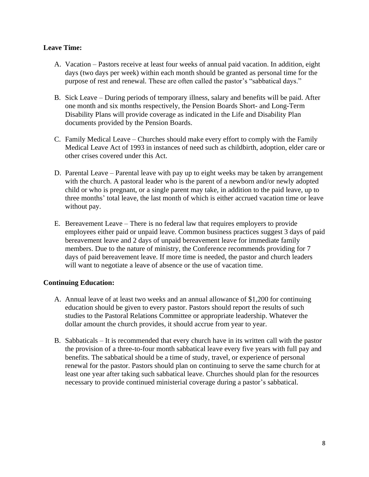#### **Leave Time:**

- A. Vacation Pastors receive at least four weeks of annual paid vacation. In addition, eight days (two days per week) within each month should be granted as personal time for the purpose of rest and renewal. These are often called the pastor's "sabbatical days."
- B. Sick Leave During periods of temporary illness, salary and benefits will be paid. After one month and six months respectively, the Pension Boards Short- and Long-Term Disability Plans will provide coverage as indicated in the Life and Disability Plan documents provided by the Pension Boards.
- C. Family Medical Leave Churches should make every effort to comply with the Family Medical Leave Act of 1993 in instances of need such as childbirth, adoption, elder care or other crises covered under this Act.
- D. Parental Leave Parental leave with pay up to eight weeks may be taken by arrangement with the church. A pastoral leader who is the parent of a newborn and/or newly adopted child or who is pregnant, or a single parent may take, in addition to the paid leave, up to three months' total leave, the last month of which is either accrued vacation time or leave without pay.
- E. Bereavement Leave There is no federal law that requires employers to provide employees either paid or unpaid leave. Common business practices suggest 3 days of paid bereavement leave and 2 days of unpaid bereavement leave for immediate family members. Due to the nature of ministry, the Conference recommends providing for 7 days of paid bereavement leave. If more time is needed, the pastor and church leaders will want to negotiate a leave of absence or the use of vacation time.

# **Continuing Education:**

- A. Annual leave of at least two weeks and an annual allowance of \$1,200 for continuing education should be given to every pastor. Pastors should report the results of such studies to the Pastoral Relations Committee or appropriate leadership. Whatever the dollar amount the church provides, it should accrue from year to year.
- B. Sabbaticals It is recommended that every church have in its written call with the pastor the provision of a three-to-four month sabbatical leave every five years with full pay and benefits. The sabbatical should be a time of study, travel, or experience of personal renewal for the pastor. Pastors should plan on continuing to serve the same church for at least one year after taking such sabbatical leave. Churches should plan for the resources necessary to provide continued ministerial coverage during a pastor's sabbatical.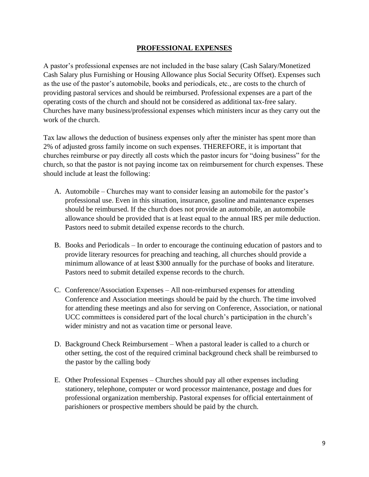#### **PROFESSIONAL EXPENSES**

A pastor's professional expenses are not included in the base salary (Cash Salary/Monetized Cash Salary plus Furnishing or Housing Allowance plus Social Security Offset). Expenses such as the use of the pastor's automobile, books and periodicals, etc., are costs to the church of providing pastoral services and should be reimbursed. Professional expenses are a part of the operating costs of the church and should not be considered as additional tax-free salary. Churches have many business/professional expenses which ministers incur as they carry out the work of the church.

Tax law allows the deduction of business expenses only after the minister has spent more than 2% of adjusted gross family income on such expenses. THEREFORE, it is important that churches reimburse or pay directly all costs which the pastor incurs for "doing business" for the church, so that the pastor is not paying income tax on reimbursement for church expenses. These should include at least the following:

- A. Automobile Churches may want to consider leasing an automobile for the pastor's professional use. Even in this situation, insurance, gasoline and maintenance expenses should be reimbursed. If the church does not provide an automobile, an automobile allowance should be provided that is at least equal to the annual IRS per mile deduction. Pastors need to submit detailed expense records to the church.
- B. Books and Periodicals In order to encourage the continuing education of pastors and to provide literary resources for preaching and teaching, all churches should provide a minimum allowance of at least \$300 annually for the purchase of books and literature. Pastors need to submit detailed expense records to the church.
- C. Conference/Association Expenses All non-reimbursed expenses for attending Conference and Association meetings should be paid by the church. The time involved for attending these meetings and also for serving on Conference, Association, or national UCC committees is considered part of the local church's participation in the church's wider ministry and not as vacation time or personal leave.
- D. Background Check Reimbursement When a pastoral leader is called to a church or other setting, the cost of the required criminal background check shall be reimbursed to the pastor by the calling body
- E. Other Professional Expenses Churches should pay all other expenses including stationery, telephone, computer or word processor maintenance, postage and dues for professional organization membership. Pastoral expenses for official entertainment of parishioners or prospective members should be paid by the church.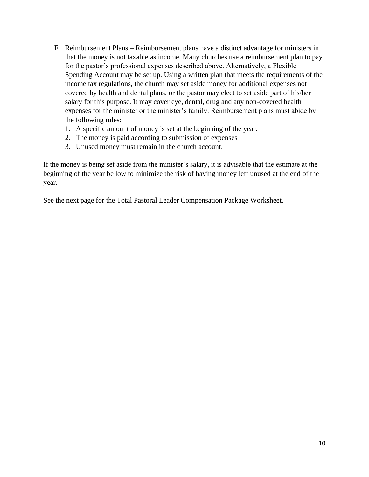- F. Reimbursement Plans Reimbursement plans have a distinct advantage for ministers in that the money is not taxable as income. Many churches use a reimbursement plan to pay for the pastor's professional expenses described above. Alternatively, a Flexible Spending Account may be set up. Using a written plan that meets the requirements of the income tax regulations, the church may set aside money for additional expenses not covered by health and dental plans, or the pastor may elect to set aside part of his/her salary for this purpose. It may cover eye, dental, drug and any non-covered health expenses for the minister or the minister's family. Reimbursement plans must abide by the following rules:
	- 1. A specific amount of money is set at the beginning of the year.
	- 2. The money is paid according to submission of expenses
	- 3. Unused money must remain in the church account.

If the money is being set aside from the minister's salary, it is advisable that the estimate at the beginning of the year be low to minimize the risk of having money left unused at the end of the year.

See the next page for the Total Pastoral Leader Compensation Package Worksheet.